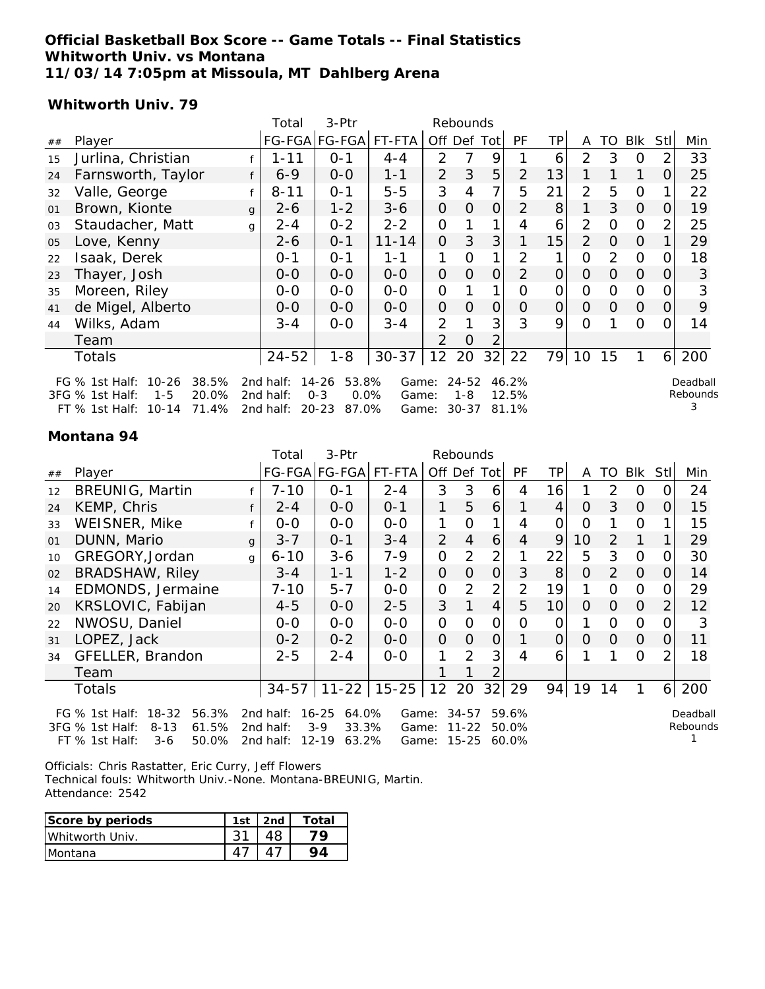#### **Official Basketball Box Score -- Game Totals -- Final Statistics Whitworth Univ. vs Montana 11/03/14 7:05pm at Missoula, MT Dahlberg Arena**

#### **Whitworth Univ. 79**

|    |                                                                                                                                                                                                                                                                                                                                          |   | Total     | 3-Ptr         |           |                | Rebounds       |                |                |                |                |          |                |                |     |
|----|------------------------------------------------------------------------------------------------------------------------------------------------------------------------------------------------------------------------------------------------------------------------------------------------------------------------------------------|---|-----------|---------------|-----------|----------------|----------------|----------------|----------------|----------------|----------------|----------|----------------|----------------|-----|
| ## | Player                                                                                                                                                                                                                                                                                                                                   |   |           | FG-FGA FG-FGA | FT-FTA    |                | Off Def Tot    |                | <b>PF</b>      | ТP             | A              | TO       | Blk            | Stl            | Min |
| 15 | Jurlina, Christian                                                                                                                                                                                                                                                                                                                       |   | $1 - 11$  | $0 - 1$       | $4 - 4$   | $\overline{2}$ | 7              | 9              |                | 6              | $\overline{2}$ | 3        | $\Omega$       | $\overline{2}$ | 33  |
| 24 | Farnsworth, Taylor                                                                                                                                                                                                                                                                                                                       |   | $6 - 9$   | $0 - 0$       | $1 - 1$   | $\overline{2}$ | 3              | 5              | 2              | 13             |                |          | 1              | $\Omega$       | 25  |
| 32 | Valle, George                                                                                                                                                                                                                                                                                                                            |   | $8 - 11$  | $0 - 1$       | $5-5$     | 3              | 4              | 7              | 5              | 21             | $\overline{2}$ | 5        | $\mathbf 0$    | 1              | 22  |
| 01 | Brown, Kionte                                                                                                                                                                                                                                                                                                                            | q | $2 - 6$   | $1 - 2$       | $3 - 6$   | $\Omega$       | $\overline{0}$ | $\Omega$       | $\overline{2}$ | 8              |                | 3        | $\overline{O}$ | $\mathbf{O}$   | 19  |
| 03 | Staudacher, Matt                                                                                                                                                                                                                                                                                                                         | g | $2 - 4$   | $0 - 2$       | $2 - 2$   | $\Omega$       |                |                | 4              | 6              | $\overline{2}$ | 0        | $\mathbf 0$    | $\overline{2}$ | 25  |
| 05 | Love, Kenny                                                                                                                                                                                                                                                                                                                              |   | 2-6       | $0 - 1$       | $11 - 14$ | $\Omega$       | 3              | 3 <sup>1</sup> |                | 15             | 2              | $\Omega$ | $\overline{0}$ | 1              | 29  |
| 22 | Isaak, Derek                                                                                                                                                                                                                                                                                                                             |   | 0-1       | $0 - 1$       | $1 - 1$   |                | 0              | 1              | 2              | 1              | O              | 2        | $\mathbf 0$    | $\overline{O}$ | 18  |
| 23 | Thayer, Josh                                                                                                                                                                                                                                                                                                                             |   | 0-0       | $0-0$         | $0-0$     | $\Omega$       | $\Omega$       | $\Omega$       | 2              | $\overline{O}$ | $\Omega$       | $\Omega$ | $\overline{O}$ | 0              | 3   |
| 35 | Moreen, Riley                                                                                                                                                                                                                                                                                                                            |   | 0-0       | $0 - 0$       | $0 - 0$   | 0              |                |                | $\Omega$       | $\Omega$       | 0              | $\Omega$ | $\mathbf 0$    | $\overline{O}$ | 3   |
| 41 | de Migel, Alberto                                                                                                                                                                                                                                                                                                                        |   | $0 - 0$   | $0-0$         | $0-0$     | $\mathbf{O}$   | $\overline{0}$ | $\overline{O}$ | $\Omega$       | $\overline{O}$ | $\Omega$       | $\Omega$ | $\overline{O}$ | $\mathbf{O}$   | 9   |
| 44 | Wilks, Adam                                                                                                                                                                                                                                                                                                                              |   | $3 - 4$   | $0 - 0$       | $3 - 4$   | $\overline{2}$ |                | 3              | 3              | 9              | $\Omega$       |          | 0              | 0              | 14  |
|    | Team                                                                                                                                                                                                                                                                                                                                     |   |           |               |           | $\overline{2}$ | $\Omega$       | 2              |                |                |                |          |                |                |     |
|    | Totals                                                                                                                                                                                                                                                                                                                                   |   | $24 - 52$ | $1 - 8$       | $30 - 37$ | 12             | 20             | 32             | 22             | 79             | 10             | 15       | 1              | 6              | 200 |
|    | $10 - 26$<br>2nd half:<br>$14 - 26$<br>53.8%<br>$24 - 52$<br>FG % 1st Half:<br>38.5%<br>46.2%<br>Game:<br>Deadball<br>Rebounds<br>20.0%<br>2nd half:<br>$0 - 3$<br>0.0%<br>3FG % 1st Half:<br>$1 - 5$<br>1-8<br>12.5%<br>Game:<br>71.4%<br>2nd half:<br>$20 - 23$<br>$30 - 37$<br>$10 - 14$<br>87.0%<br>81.1%<br>FT % 1st Half:<br>Game: |   |           |               |           |                |                |                |                |                |                |          |                |                |     |

#### **Montana 94**

|    |                                        |              | Total     | 3-Ptr              | Rebounds  |                |                |                |                |                |          |             |                |                |          |
|----|----------------------------------------|--------------|-----------|--------------------|-----------|----------------|----------------|----------------|----------------|----------------|----------|-------------|----------------|----------------|----------|
| ## | Player                                 |              |           | FG-FGA FG-FGA      | FT-FTA    |                | Off Def Tot    |                | <b>PF</b>      | ТP             | A        | TO          | Blk            | Stl            | Min      |
| 12 | <b>BREUNIG, Martin</b>                 |              | $7 - 10$  | $O - 1$            | $2 - 4$   | 3              | 3              | 6              | 4              | 16             |          | 2           | $\overline{0}$ | 0              | 24       |
| 24 | KEMP, Chris                            |              | $2 - 4$   | $0 - 0$            | $0 - 1$   | 1              | 5              | $6 \mid$       |                | $\overline{4}$ | $\Omega$ | 3           | $\overline{O}$ | $\Omega$       | 15       |
| 33 | WEISNER, Mike                          |              | $O-O$     | $0 - 0$            | $0 - 0$   |                | $\Omega$       |                | 4              | O              | 0        |             | $\mathbf 0$    |                | 15       |
| 01 | DUNN, Mario                            | $\mathsf{q}$ | $3 - 7$   | $0 - 1$            | $3 - 4$   | $\mathcal{P}$  | $\overline{4}$ | 6              | 4              | 9              | 10       | 2           | 1              | 1              | 29       |
| 10 | GREGORY, Jordan                        | g            | $6 - 10$  | $3 - 6$            | $7 - 9$   | $\Omega$       | 2              | $\overline{2}$ | 1              | 22             | 5        | 3           | $\overline{0}$ | $\Omega$       | 30       |
| 02 | <b>BRADSHAW, Riley</b>                 |              | $3 - 4$   | $1 - 1$            | $1 - 2$   | $\Omega$       | $\Omega$       | $\Omega$       | 3              | 8              | $\Omega$ | 2           | $\overline{O}$ | $\Omega$       | 14       |
| 14 | EDMONDS, Jermaine                      |              | $7 - 10$  | $5 - 7$            | $0 - 0$   | 0              | 2              | $\overline{2}$ | $\overline{2}$ | 19             | 1        | $\Omega$    | $\mathbf 0$    | 0              | 29       |
| 20 | KRSLOVIC, Fabijan                      |              | $4 - 5$   | $0 - 0$            | $2 - 5$   | 3              |                | $\overline{4}$ | 5              | 10             | $\Omega$ | $\Omega$    | $\Omega$       | $\overline{2}$ | 12       |
| 22 | NWOSU, Daniel                          |              | $0-0$     | $0 - 0$            | $0-0$     | $\mathbf 0$    | $\Omega$       | $\Omega$       | 0              | $\overline{O}$ |          | $\mathbf 0$ | $\mathbf 0$    | 0              | 3        |
| 31 | LOPEZ, Jack                            |              | $0 - 2$   | $0 - 2$            | $0 - 0$   | $\overline{0}$ | $\Omega$       | $\overline{0}$ |                | $\overline{O}$ | $\Omega$ | $\Omega$    | $\Omega$       | 0              | 11       |
| 34 | GFELLER, Brandon                       |              | $2 - 5$   | $2 - 4$            | $0 - 0$   |                | 2              | 3              | 4              | 6              |          | 1           | 0              | $\overline{2}$ | 18       |
|    | Team                                   |              |           |                    |           |                |                |                |                |                |          |             |                |                |          |
|    | Totals                                 |              | $34 - 57$ | $11 - 22$          | $15 - 25$ | 12             | 20             | 32             | 29             | 94             | 19       | 14          |                | 6              | 200      |
|    | FG $%$ 1st Half:<br>$18 - 32$<br>56.3% |              | 2nd half: | $16 - 25$<br>64.0% | Game:     |                | $34 - 57$      |                | 59.6%          |                |          |             |                |                | Deadball |
|    | 61.5%<br>3FG % 1st Half:<br>$8 - 13$   |              | 2nd half: | $3-9$<br>33.3%     | Game:     |                | $11 - 22$      |                | 50.0%          |                |          |             |                |                | Rebounds |
|    | 50.0%<br>$FT$ % 1st Half:<br>3-6       |              | 2nd half: | $12 - 19$<br>63.2% | Game:     |                | 15-25          |                | 60.0%          |                |          |             |                |                |          |

Officials: Chris Rastatter, Eric Curry, Jeff Flowers

Technical fouls: Whitworth Univ.-None. Montana-BREUNIG, Martin. Attendance: 2542

| Score by periods | 1st $ $ 2nd | Total |
|------------------|-------------|-------|
| Whitworth Univ.  |             | 7Ο    |
| <i>IMontana</i>  |             | 94    |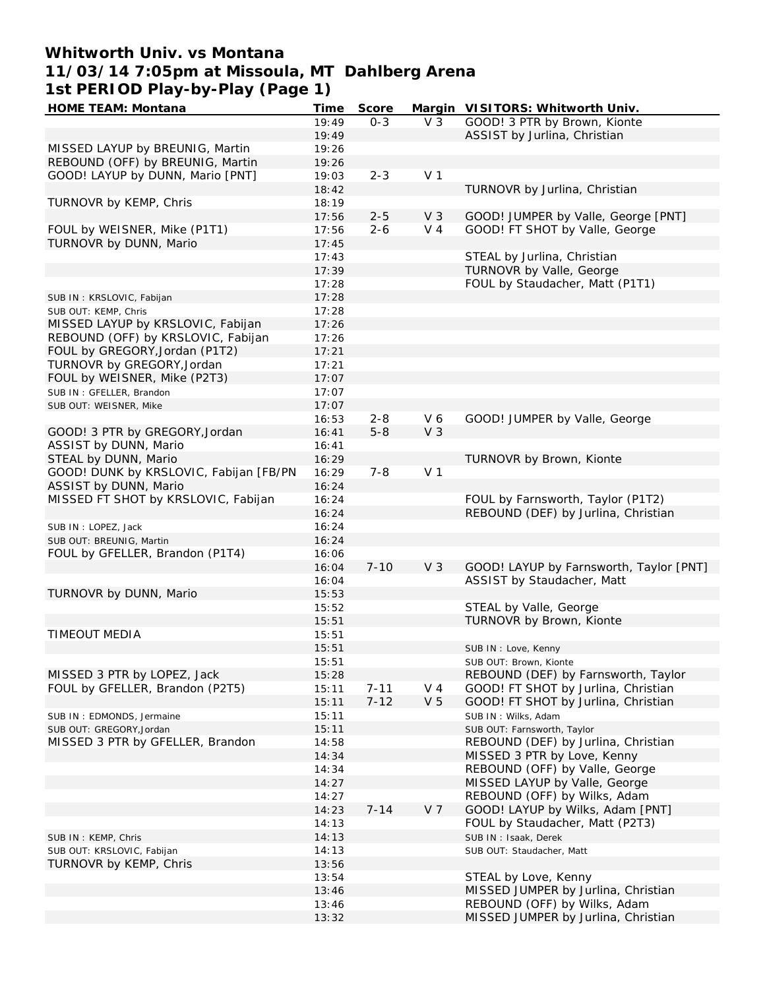# **Whitworth Univ. vs Montana 11/03/14 7:05pm at Missoula, MT Dahlberg Arena 1st PERIOD Play-by-Play (Page 1)**

| <b>HOME TEAM: Montana</b>              | Time  | <b>Score</b> |                | Margin VISITORS: Whitworth Univ.        |
|----------------------------------------|-------|--------------|----------------|-----------------------------------------|
|                                        | 19:49 | $0 - 3$      | $V_3$          | GOOD! 3 PTR by Brown, Kionte            |
|                                        | 19:49 |              |                | ASSIST by Jurlina, Christian            |
| MISSED LAYUP by BREUNIG, Martin        | 19:26 |              |                |                                         |
| REBOUND (OFF) by BREUNIG, Martin       | 19:26 |              |                |                                         |
| GOOD! LAYUP by DUNN, Mario [PNT]       | 19:03 | $2 - 3$      | V <sub>1</sub> |                                         |
|                                        | 18:42 |              |                | TURNOVR by Jurlina, Christian           |
|                                        |       |              |                |                                         |
| TURNOVR by KEMP, Chris                 | 18:19 |              |                |                                         |
|                                        | 17:56 | $2 - 5$      | V <sub>3</sub> | GOOD! JUMPER by Valle, George [PNT]     |
| FOUL by WEISNER, Mike (P1T1)           | 17:56 | $2 - 6$      | V <sub>4</sub> | GOOD! FT SHOT by Valle, George          |
| TURNOVR by DUNN, Mario                 | 17:45 |              |                |                                         |
|                                        | 17:43 |              |                | STEAL by Jurlina, Christian             |
|                                        | 17:39 |              |                | TURNOVR by Valle, George                |
|                                        | 17:28 |              |                | FOUL by Staudacher, Matt (P1T1)         |
| SUB IN: KRSLOVIC, Fabijan              | 17:28 |              |                |                                         |
| SUB OUT: KEMP, Chris                   | 17:28 |              |                |                                         |
| MISSED LAYUP by KRSLOVIC, Fabijan      | 17:26 |              |                |                                         |
| REBOUND (OFF) by KRSLOVIC, Fabijan     | 17:26 |              |                |                                         |
| FOUL by GREGORY, Jordan (P1T2)         | 17:21 |              |                |                                         |
| TURNOVR by GREGORY, Jordan             | 17:21 |              |                |                                         |
|                                        |       |              |                |                                         |
| FOUL by WEISNER, Mike (P2T3)           | 17:07 |              |                |                                         |
| SUB IN: GFELLER, Brandon               | 17:07 |              |                |                                         |
| SUB OUT: WEISNER, Mike                 | 17:07 |              |                |                                         |
|                                        | 16:53 | $2 - 8$      | V6             | GOOD! JUMPER by Valle, George           |
| GOOD! 3 PTR by GREGORY, Jordan         | 16:41 | $5 - 8$      | V <sub>3</sub> |                                         |
| ASSIST by DUNN, Mario                  | 16:41 |              |                |                                         |
| STEAL by DUNN, Mario                   | 16:29 |              |                | TURNOVR by Brown, Kionte                |
| GOOD! DUNK by KRSLOVIC, Fabijan [FB/PN | 16:29 | $7 - 8$      | V <sub>1</sub> |                                         |
| ASSIST by DUNN, Mario                  | 16:24 |              |                |                                         |
| MISSED FT SHOT by KRSLOVIC, Fabijan    | 16:24 |              |                | FOUL by Farnsworth, Taylor (P1T2)       |
|                                        | 16:24 |              |                | REBOUND (DEF) by Jurlina, Christian     |
|                                        | 16:24 |              |                |                                         |
| SUB IN: LOPEZ, Jack                    |       |              |                |                                         |
| SUB OUT: BREUNIG, Martin               | 16:24 |              |                |                                         |
| FOUL by GFELLER, Brandon (P1T4)        | 16:06 |              |                |                                         |
|                                        | 16:04 | $7 - 10$     | V <sub>3</sub> | GOOD! LAYUP by Farnsworth, Taylor [PNT] |
|                                        | 16:04 |              |                | ASSIST by Staudacher, Matt              |
| TURNOVR by DUNN, Mario                 | 15:53 |              |                |                                         |
|                                        | 15:52 |              |                | STEAL by Valle, George                  |
|                                        | 15:51 |              |                | TURNOVR by Brown, Kionte                |
| TIMEOUT MEDIA                          | 15:51 |              |                |                                         |
|                                        | 15:51 |              |                | SUB IN: Love, Kenny                     |
|                                        | 15:51 |              |                | SUB OUT: Brown, Kionte                  |
| MISSED 3 PTR by LOPEZ, Jack            | 15:28 |              |                | REBOUND (DEF) by Farnsworth, Taylor     |
| FOUL by GFELLER, Brandon (P2T5)        | 15:11 | $7 - 11$     | $V_4$          | GOOD! FT SHOT by Jurlina, Christian     |
|                                        | 15:11 | $7 - 12$     | V <sub>5</sub> | GOOD! FT SHOT by Jurlina, Christian     |
|                                        |       |              |                |                                         |
| SUB IN: EDMONDS, Jermaine              | 15:11 |              |                | SUB IN: Wilks, Adam                     |
| SUB OUT: GREGORY, Jordan               | 15:11 |              |                | SUB OUT: Farnsworth, Taylor             |
| MISSED 3 PTR by GFELLER, Brandon       | 14:58 |              |                | REBOUND (DEF) by Jurlina, Christian     |
|                                        | 14:34 |              |                | MISSED 3 PTR by Love, Kenny             |
|                                        | 14:34 |              |                | REBOUND (OFF) by Valle, George          |
|                                        | 14:27 |              |                | MISSED LAYUP by Valle, George           |
|                                        | 14:27 |              |                | REBOUND (OFF) by Wilks, Adam            |
|                                        | 14:23 | $7 - 14$     | V <sub>7</sub> | GOOD! LAYUP by Wilks, Adam [PNT]        |
|                                        | 14:13 |              |                | FOUL by Staudacher, Matt (P2T3)         |
| SUB IN: KEMP, Chris                    | 14:13 |              |                | SUB IN: Isaak, Derek                    |
| SUB OUT: KRSLOVIC, Fabijan             | 14:13 |              |                | SUB OUT: Staudacher, Matt               |
| TURNOVR by KEMP, Chris                 | 13:56 |              |                |                                         |
|                                        |       |              |                |                                         |
|                                        | 13:54 |              |                | STEAL by Love, Kenny                    |
|                                        | 13:46 |              |                | MISSED JUMPER by Jurlina, Christian     |
|                                        | 13:46 |              |                | REBOUND (OFF) by Wilks, Adam            |
|                                        | 13:32 |              |                | MISSED JUMPER by Jurlina, Christian     |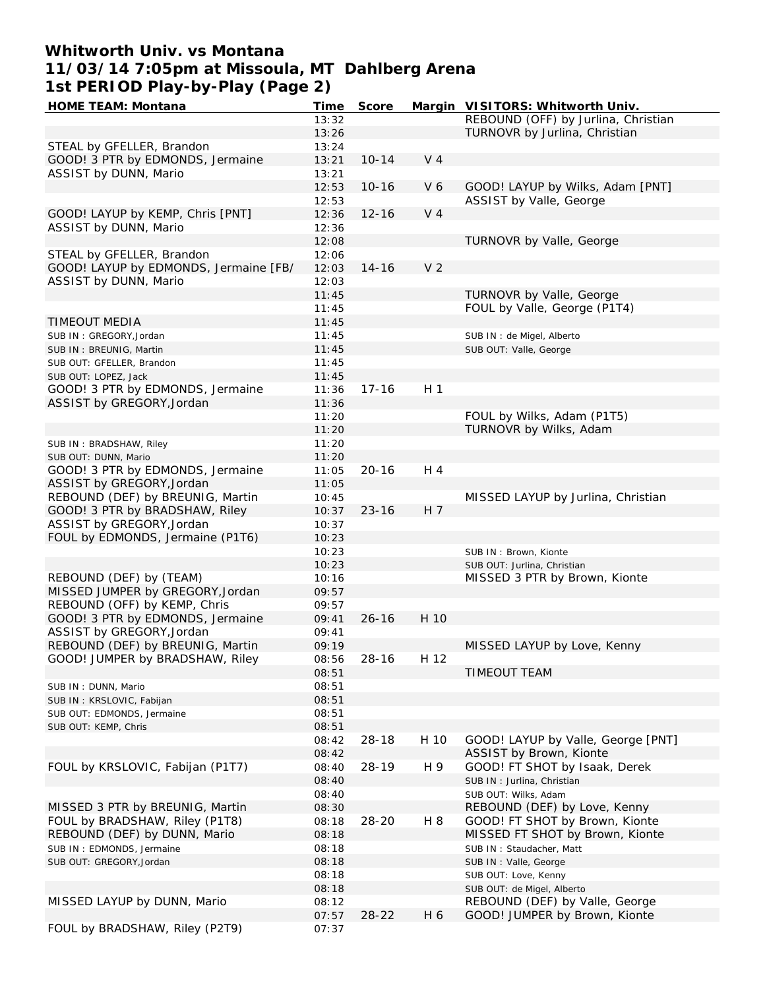## **Whitworth Univ. vs Montana 11/03/14 7:05pm at Missoula, MT Dahlberg Arena 1st PERIOD Play-by-Play (Page 2)**

| <b>HOME TEAM: Montana</b>             | Time  | <b>Score</b> |                | Margin VISITORS: Whitworth Univ.    |
|---------------------------------------|-------|--------------|----------------|-------------------------------------|
|                                       | 13:32 |              |                | REBOUND (OFF) by Jurlina, Christian |
|                                       | 13:26 |              |                | TURNOVR by Jurlina, Christian       |
| STEAL by GFELLER, Brandon             | 13:24 |              |                |                                     |
| GOOD! 3 PTR by EDMONDS, Jermaine      | 13:21 | $10 - 14$    | V <sub>4</sub> |                                     |
| ASSIST by DUNN, Mario                 | 13:21 |              |                |                                     |
|                                       | 12:53 | $10 - 16$    | V <sub>6</sub> | GOOD! LAYUP by Wilks, Adam [PNT]    |
|                                       | 12:53 |              |                | ASSIST by Valle, George             |
| GOOD! LAYUP by KEMP, Chris [PNT]      | 12:36 | $12 - 16$    | V <sub>4</sub> |                                     |
| ASSIST by DUNN, Mario                 | 12:36 |              |                |                                     |
|                                       |       |              |                | TURNOVR by Valle, George            |
|                                       | 12:08 |              |                |                                     |
| STEAL by GFELLER, Brandon             | 12:06 |              |                |                                     |
| GOOD! LAYUP by EDMONDS, Jermaine [FB/ | 12:03 | $14 - 16$    | V <sub>2</sub> |                                     |
| ASSIST by DUNN, Mario                 | 12:03 |              |                |                                     |
|                                       | 11:45 |              |                | <b>TURNOVR by Valle, George</b>     |
|                                       | 11:45 |              |                | FOUL by Valle, George (P1T4)        |
| <b>TIMEOUT MEDIA</b>                  | 11:45 |              |                |                                     |
| SUB IN: GREGORY, Jordan               | 11:45 |              |                | SUB IN : de Migel, Alberto          |
| SUB IN: BREUNIG, Martin               | 11:45 |              |                | SUB OUT: Valle, George              |
| SUB OUT: GFELLER, Brandon             | 11:45 |              |                |                                     |
| SUB OUT: LOPEZ, Jack                  | 11:45 |              |                |                                     |
| GOOD! 3 PTR by EDMONDS, Jermaine      | 11:36 | $17 - 16$    | H <sub>1</sub> |                                     |
| ASSIST by GREGORY, Jordan             | 11:36 |              |                |                                     |
|                                       | 11:20 |              |                | FOUL by Wilks, Adam (P1T5)          |
|                                       | 11:20 |              |                | TURNOVR by Wilks, Adam              |
|                                       | 11:20 |              |                |                                     |
| SUB IN: BRADSHAW, Riley               |       |              |                |                                     |
| SUB OUT: DUNN, Mario                  | 11:20 |              |                |                                     |
| GOOD! 3 PTR by EDMONDS, Jermaine      | 11:05 | $20 - 16$    | H 4            |                                     |
| ASSIST by GREGORY, Jordan             | 11:05 |              |                |                                     |
| REBOUND (DEF) by BREUNIG, Martin      | 10:45 |              |                | MISSED LAYUP by Jurlina, Christian  |
| GOOD! 3 PTR by BRADSHAW, Riley        | 10:37 | $23 - 16$    | H 7            |                                     |
| ASSIST by GREGORY, Jordan             | 10:37 |              |                |                                     |
| FOUL by EDMONDS, Jermaine (P1T6)      | 10:23 |              |                |                                     |
|                                       | 10:23 |              |                | SUB IN: Brown, Kionte               |
|                                       | 10:23 |              |                | SUB OUT: Jurlina, Christian         |
| REBOUND (DEF) by (TEAM)               | 10:16 |              |                | MISSED 3 PTR by Brown, Kionte       |
| MISSED JUMPER by GREGORY, Jordan      | 09:57 |              |                |                                     |
| REBOUND (OFF) by KEMP, Chris          | 09:57 |              |                |                                     |
| GOOD! 3 PTR by EDMONDS, Jermaine      | 09:41 | $26 - 16$    | H 10           |                                     |
| ASSIST by GREGORY, Jordan             | 09:41 |              |                |                                     |
| REBOUND (DEF) by BREUNIG, Martin      | 09:19 |              |                | MISSED LAYUP by Love, Kenny         |
| GOOD! JUMPER by BRADSHAW, Riley       | 08:56 | $28 - 16$    | H 12           |                                     |
|                                       |       |              |                | <b>TIMEOUT TEAM</b>                 |
|                                       | 08:51 |              |                |                                     |
| SUB IN: DUNN, Mario                   | 08:51 |              |                |                                     |
| SUB IN: KRSLOVIC, Fabijan             | 08:51 |              |                |                                     |
| SUB OUT: EDMONDS, Jermaine            | 08:51 |              |                |                                     |
| SUB OUT: KEMP, Chris                  | 08:51 |              |                |                                     |
|                                       | 08:42 | $28 - 18$    | H 10           | GOOD! LAYUP by Valle, George [PNT]  |
|                                       | 08:42 |              |                | ASSIST by Brown, Kionte             |
| FOUL by KRSLOVIC, Fabijan (P1T7)      | 08:40 | 28-19        | H 9            | GOOD! FT SHOT by Isaak, Derek       |
|                                       | 08:40 |              |                | SUB IN: Jurlina, Christian          |
|                                       | 08:40 |              |                | SUB OUT: Wilks, Adam                |
| MISSED 3 PTR by BREUNIG, Martin       | 08:30 |              |                | REBOUND (DEF) by Love, Kenny        |
| FOUL by BRADSHAW, Riley (P1T8)        | 08:18 | 28-20        | H 8            | GOOD! FT SHOT by Brown, Kionte      |
| REBOUND (DEF) by DUNN, Mario          | 08:18 |              |                | MISSED FT SHOT by Brown, Kionte     |
| SUB IN: EDMONDS, Jermaine             | 08:18 |              |                | SUB IN: Staudacher, Matt            |
| SUB OUT: GREGORY, Jordan              | 08:18 |              |                | SUB IN: Valle, George               |
|                                       | 08:18 |              |                | SUB OUT: Love, Kenny                |
|                                       |       |              |                |                                     |
|                                       | 08:18 |              |                | SUB OUT: de Migel, Alberto          |
| MISSED LAYUP by DUNN, Mario           | 08:12 |              |                | REBOUND (DEF) by Valle, George      |
|                                       | 07:57 | $28 - 22$    | H 6            | GOOD! JUMPER by Brown, Kionte       |
| FOUL by BRADSHAW, Riley (P2T9)        | 07:37 |              |                |                                     |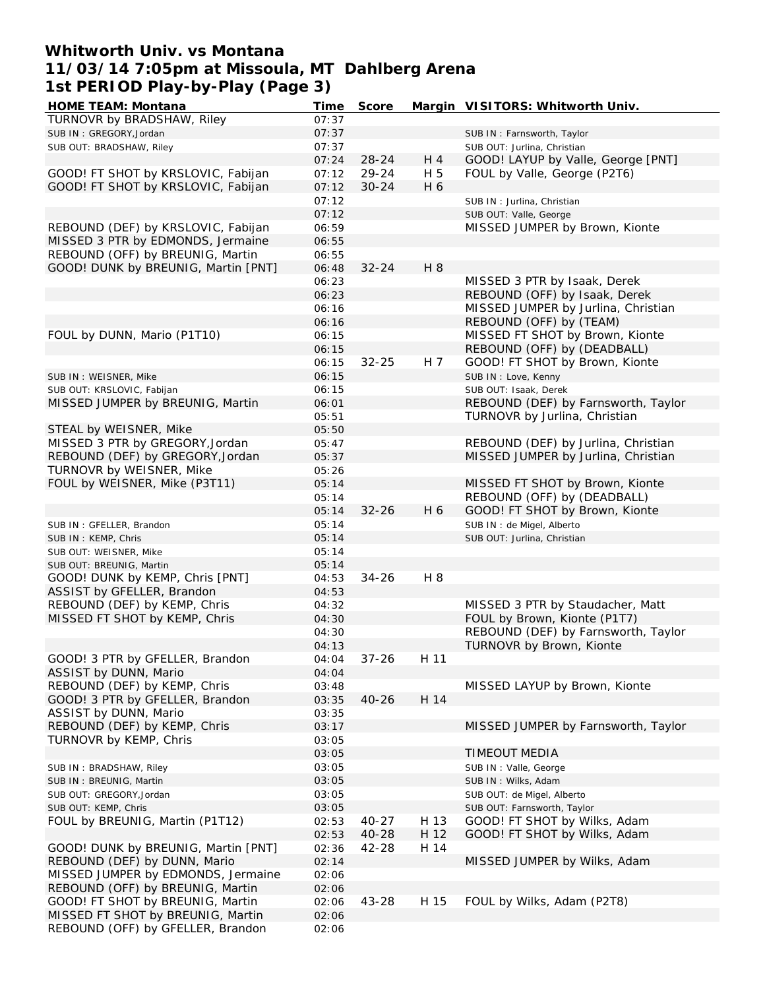### **Whitworth Univ. vs Montana 11/03/14 7:05pm at Missoula, MT Dahlberg Arena 1st PERIOD Play-by-Play (Page 3)**

| <b>HOME TEAM: Montana</b>           | Time  | <b>Score</b> |      | Margin VISITORS: Whitworth Univ.    |
|-------------------------------------|-------|--------------|------|-------------------------------------|
| TURNOVR by BRADSHAW, Riley          | 07:37 |              |      |                                     |
| SUB IN: GREGORY, Jordan             | 07:37 |              |      | SUB IN: Farnsworth, Taylor          |
| SUB OUT: BRADSHAW, Riley            | 07:37 |              |      | SUB OUT: Jurlina, Christian         |
|                                     | 07:24 | 28-24        | H 4  | GOOD! LAYUP by Valle, George [PNT]  |
| GOOD! FT SHOT by KRSLOVIC, Fabijan  | 07:12 | 29-24        | H 5  | FOUL by Valle, George (P2T6)        |
| GOOD! FT SHOT by KRSLOVIC, Fabijan  | 07:12 | $30 - 24$    | H 6  |                                     |
|                                     |       |              |      |                                     |
|                                     | 07:12 |              |      | SUB IN: Jurlina, Christian          |
|                                     | 07:12 |              |      | SUB OUT: Valle, George              |
| REBOUND (DEF) by KRSLOVIC, Fabijan  | 06:59 |              |      | MISSED JUMPER by Brown, Kionte      |
| MISSED 3 PTR by EDMONDS, Jermaine   | 06:55 |              |      |                                     |
| REBOUND (OFF) by BREUNIG, Martin    | 06:55 |              |      |                                     |
| GOOD! DUNK by BREUNIG, Martin [PNT] | 06:48 | $32 - 24$    | H 8  |                                     |
|                                     | 06:23 |              |      | MISSED 3 PTR by Isaak, Derek        |
|                                     | 06:23 |              |      | REBOUND (OFF) by Isaak, Derek       |
|                                     | 06:16 |              |      | MISSED JUMPER by Jurlina, Christian |
|                                     | 06:16 |              |      | REBOUND (OFF) by (TEAM)             |
|                                     |       |              |      |                                     |
| FOUL by DUNN, Mario (P1T10)         | 06:15 |              |      | MISSED FT SHOT by Brown, Kionte     |
|                                     | 06:15 |              |      | REBOUND (OFF) by (DEADBALL)         |
|                                     | 06:15 | $32 - 25$    | H 7  | GOOD! FT SHOT by Brown, Kionte      |
| SUB IN : WEISNER, Mike              | 06:15 |              |      | SUB IN : Love, Kenny                |
| SUB OUT: KRSLOVIC, Fabijan          | 06:15 |              |      | SUB OUT: Isaak, Derek               |
| MISSED JUMPER by BREUNIG, Martin    | 06:01 |              |      | REBOUND (DEF) by Farnsworth, Taylor |
|                                     | 05:51 |              |      | TURNOVR by Jurlina, Christian       |
| STEAL by WEISNER, Mike              | 05:50 |              |      |                                     |
| MISSED 3 PTR by GREGORY, Jordan     | 05:47 |              |      | REBOUND (DEF) by Jurlina, Christian |
| REBOUND (DEF) by GREGORY, Jordan    | 05:37 |              |      | MISSED JUMPER by Jurlina, Christian |
|                                     |       |              |      |                                     |
| TURNOVR by WEISNER, Mike            | 05:26 |              |      |                                     |
| FOUL by WEISNER, Mike (P3T11)       | 05:14 |              |      | MISSED FT SHOT by Brown, Kionte     |
|                                     | 05:14 |              |      | REBOUND (OFF) by (DEADBALL)         |
|                                     | 05:14 | $32 - 26$    | H 6  | GOOD! FT SHOT by Brown, Kionte      |
| SUB IN: GFELLER, Brandon            | 05:14 |              |      | SUB IN : de Migel, Alberto          |
| SUB IN: KEMP, Chris                 | 05:14 |              |      | SUB OUT: Jurlina, Christian         |
| SUB OUT: WEISNER, Mike              | 05:14 |              |      |                                     |
| SUB OUT: BREUNIG, Martin            | 05:14 |              |      |                                     |
| GOOD! DUNK by KEMP, Chris [PNT]     | 04:53 | $34 - 26$    | H 8  |                                     |
| ASSIST by GFELLER, Brandon          | 04:53 |              |      |                                     |
| REBOUND (DEF) by KEMP, Chris        | 04:32 |              |      | MISSED 3 PTR by Staudacher, Matt    |
|                                     |       |              |      |                                     |
| MISSED FT SHOT by KEMP, Chris       | 04:30 |              |      | FOUL by Brown, Kionte (P1T7)        |
|                                     | 04:30 |              |      | REBOUND (DEF) by Farnsworth, Taylor |
|                                     | 04:13 |              |      | TURNOVR by Brown, Kionte            |
| GOOD! 3 PTR by GFELLER, Brandon     | 04:04 | 37-26        | H 11 |                                     |
| ASSIST by DUNN, Mario               | 04:04 |              |      |                                     |
| REBOUND (DEF) by KEMP, Chris        | 03:48 |              |      | MISSED LAYUP by Brown, Kionte       |
| GOOD! 3 PTR by GFELLER, Brandon     | 03:35 | $40 - 26$    | H 14 |                                     |
| ASSIST by DUNN, Mario               | 03:35 |              |      |                                     |
| REBOUND (DEF) by KEMP, Chris        | 03:17 |              |      | MISSED JUMPER by Farnsworth, Taylor |
| TURNOVR by KEMP, Chris              | 03:05 |              |      |                                     |
|                                     | 03:05 |              |      | <b>TIMEOUT MEDIA</b>                |
| SUB IN: BRADSHAW, Riley             | 03:05 |              |      | SUB IN: Valle, George               |
|                                     |       |              |      |                                     |
| SUB IN: BREUNIG, Martin             | 03:05 |              |      | SUB IN: Wilks, Adam                 |
| SUB OUT: GREGORY, Jordan            | 03:05 |              |      | SUB OUT: de Migel, Alberto          |
| SUB OUT: KEMP, Chris                | 03:05 |              |      | SUB OUT: Farnsworth, Taylor         |
| FOUL by BREUNIG, Martin (P1T12)     | 02:53 | 40-27        | H 13 | GOOD! FT SHOT by Wilks, Adam        |
|                                     | 02:53 | 40-28        | H 12 | GOOD! FT SHOT by Wilks, Adam        |
| GOOD! DUNK by BREUNIG, Martin [PNT] | 02:36 | 42-28        | H 14 |                                     |
| REBOUND (DEF) by DUNN, Mario        | 02:14 |              |      | MISSED JUMPER by Wilks, Adam        |
| MISSED JUMPER by EDMONDS, Jermaine  | 02:06 |              |      |                                     |
| REBOUND (OFF) by BREUNIG, Martin    | 02:06 |              |      |                                     |
| GOOD! FT SHOT by BREUNIG, Martin    |       | 43-28        | H 15 | FOUL by Wilks, Adam (P2T8)          |
|                                     | 02:06 |              |      |                                     |
| MISSED FT SHOT by BREUNIG, Martin   | 02:06 |              |      |                                     |
| REBOUND (OFF) by GFELLER, Brandon   | 02:06 |              |      |                                     |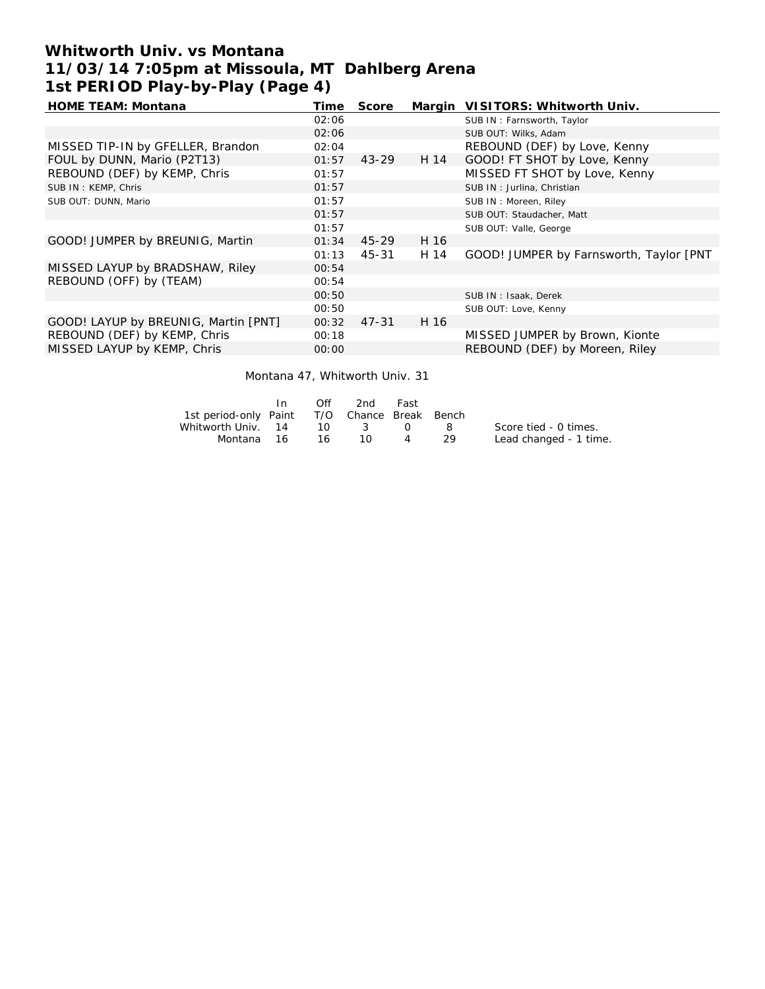# **Whitworth Univ. vs Montana 11/03/14 7:05pm at Missoula, MT Dahlberg Arena 1st PERIOD Play-by-Play (Page 4)**

| <b>HOME TEAM: Montana</b>            | Time  | <b>Score</b> |      | Margin VISITORS: Whitworth Univ.        |
|--------------------------------------|-------|--------------|------|-----------------------------------------|
|                                      | 02:06 |              |      | SUB IN: Farnsworth, Taylor              |
|                                      | 02:06 |              |      | SUB OUT: Wilks, Adam                    |
| MISSED TIP-IN by GFELLER, Brandon    | 02:04 |              |      | REBOUND (DEF) by Love, Kenny            |
| FOUL by DUNN, Mario (P2T13)          | 01:57 | $43 - 29$    | H 14 | GOOD! FT SHOT by Love, Kenny            |
| REBOUND (DEF) by KEMP, Chris         | 01:57 |              |      | MISSED FT SHOT by Love, Kenny           |
| SUB IN: KEMP, Chris                  | 01:57 |              |      | SUB IN: Jurlina, Christian              |
| SUB OUT: DUNN, Mario                 | 01:57 |              |      | SUB IN: Moreen, Riley                   |
|                                      | 01:57 |              |      | SUB OUT: Staudacher, Matt               |
|                                      | 01:57 |              |      | SUB OUT: Valle, George                  |
| GOOD! JUMPER by BREUNIG, Martin      | 01:34 | 45-29        | H 16 |                                         |
|                                      | 01:13 | 45-31        | H 14 | GOOD! JUMPER by Farnsworth, Taylor [PNT |
| MISSED LAYUP by BRADSHAW, Riley      | 00:54 |              |      |                                         |
| REBOUND (OFF) by (TEAM)              | 00:54 |              |      |                                         |
|                                      | 00:50 |              |      | SUB IN: Isaak, Derek                    |
|                                      | 00:50 |              |      | SUB OUT: Love, Kenny                    |
| GOOD! LAYUP by BREUNIG, Martin [PNT] | 00:32 | 47-31        | H 16 |                                         |
| REBOUND (DEF) by KEMP, Chris         | 00:18 |              |      | MISSED JUMPER by Brown, Kionte          |
| MISSED LAYUP by KEMP, Chris          | 00:00 |              |      | REBOUND (DEF) by Moreen, Riley          |
|                                      |       |              |      |                                         |

Montana 47, Whitworth Univ. 31

|                                              | In. | Off    | 2nd  | Fast |       |                        |
|----------------------------------------------|-----|--------|------|------|-------|------------------------|
| 1st period-only Paint T/O Chance Break Bench |     |        |      |      |       |                        |
| Whitworth Univ. 14                           |     |        | 10 3 | റ    | - 8 - | Score tied - 0 times.  |
| Montana 16                                   |     | - 16 - | 10.  | 4    | - 29  | Lead changed - 1 time. |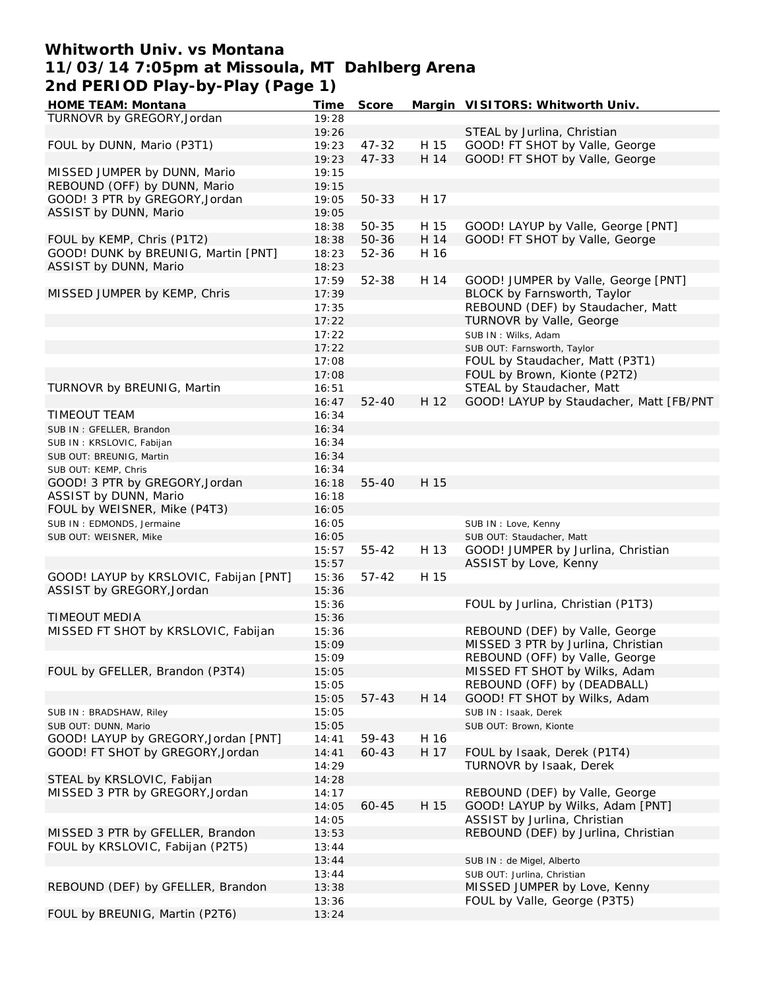## **Whitworth Univ. vs Montana 11/03/14 7:05pm at Missoula, MT Dahlberg Arena 2nd PERIOD Play-by-Play (Page 1)**

| <b>HOME TEAM: Montana</b>              | <u>Time</u> | <b>Score</b> |      | Margin VISITORS: Whitworth Univ.        |
|----------------------------------------|-------------|--------------|------|-----------------------------------------|
| TURNOVR by GREGORY, Jordan             | 19:28       |              |      |                                         |
|                                        | 19:26       |              |      | STEAL by Jurlina, Christian             |
| FOUL by DUNN, Mario (P3T1)             | 19:23       | 47-32        | H 15 | GOOD! FT SHOT by Valle, George          |
|                                        | 19:23       | $47 - 33$    | H 14 | GOOD! FT SHOT by Valle, George          |
| MISSED JUMPER by DUNN, Mario           | 19:15       |              |      |                                         |
| REBOUND (OFF) by DUNN, Mario           | 19:15       |              |      |                                         |
| GOOD! 3 PTR by GREGORY, Jordan         | 19:05       | 50-33        | H 17 |                                         |
|                                        |             |              |      |                                         |
| ASSIST by DUNN, Mario                  | 19:05       |              |      |                                         |
|                                        | 18:38       | $50 - 35$    | H 15 | GOOD! LAYUP by Valle, George [PNT]      |
| FOUL by KEMP, Chris (P1T2)             | 18:38       | 50-36        | H 14 | GOOD! FT SHOT by Valle, George          |
| GOOD! DUNK by BREUNIG, Martin [PNT]    | 18:23       | $52 - 36$    | H 16 |                                         |
| ASSIST by DUNN, Mario                  | 18:23       |              |      |                                         |
|                                        | 17:59       | 52-38        | H 14 | GOOD! JUMPER by Valle, George [PNT]     |
| MISSED JUMPER by KEMP, Chris           | 17:39       |              |      | BLOCK by Farnsworth, Taylor             |
|                                        | 17:35       |              |      | REBOUND (DEF) by Staudacher, Matt       |
|                                        | 17:22       |              |      | TURNOVR by Valle, George                |
|                                        | 17:22       |              |      | SUB IN: Wilks, Adam                     |
|                                        | 17:22       |              |      | SUB OUT: Farnsworth, Taylor             |
|                                        | 17:08       |              |      | FOUL by Staudacher, Matt (P3T1)         |
|                                        |             |              |      | FOUL by Brown, Kionte (P2T2)            |
|                                        | 17:08       |              |      |                                         |
| TURNOVR by BREUNIG, Martin             | 16:51       |              |      | STEAL by Staudacher, Matt               |
|                                        | 16:47       | $52 - 40$    | H 12 | GOOD! LAYUP by Staudacher, Matt [FB/PNT |
| TIMEOUT TEAM                           | 16:34       |              |      |                                         |
| SUB IN: GFELLER, Brandon               | 16:34       |              |      |                                         |
| SUB IN: KRSLOVIC, Fabijan              | 16:34       |              |      |                                         |
| SUB OUT: BREUNIG, Martin               | 16:34       |              |      |                                         |
| SUB OUT: KEMP, Chris                   | 16:34       |              |      |                                         |
| GOOD! 3 PTR by GREGORY, Jordan         | 16:18       | 55-40        | H 15 |                                         |
| ASSIST by DUNN, Mario                  | 16:18       |              |      |                                         |
| FOUL by WEISNER, Mike (P4T3)           | 16:05       |              |      |                                         |
| SUB IN: EDMONDS, Jermaine              | 16:05       |              |      | SUB IN : Love, Kenny                    |
| SUB OUT: WEISNER, Mike                 | 16:05       |              |      | SUB OUT: Staudacher, Matt               |
|                                        |             | $55 - 42$    | H 13 | GOOD! JUMPER by Jurlina, Christian      |
|                                        | 15:57       |              |      |                                         |
|                                        | 15:57       |              |      | ASSIST by Love, Kenny                   |
| GOOD! LAYUP by KRSLOVIC, Fabijan [PNT] | 15:36       | $57 - 42$    | H 15 |                                         |
| ASSIST by GREGORY, Jordan              | 15:36       |              |      |                                         |
|                                        | 15:36       |              |      | FOUL by Jurlina, Christian (P1T3)       |
| <b>TIMEOUT MEDIA</b>                   | 15:36       |              |      |                                         |
| MISSED FT SHOT by KRSLOVIC, Fabijan    | 15:36       |              |      | REBOUND (DEF) by Valle, George          |
|                                        | 15:09       |              |      | MISSED 3 PTR by Jurlina, Christian      |
|                                        | 15:09       |              |      | REBOUND (OFF) by Valle, George          |
| FOUL by GFELLER, Brandon (P3T4)        | 15:05       |              |      | MISSED FT SHOT by Wilks, Adam           |
|                                        | 15:05       |              |      | REBOUND (OFF) by (DEADBALL)             |
|                                        | 15:05       | 57-43        | H 14 | GOOD! FT SHOT by Wilks, Adam            |
| SUB IN: BRADSHAW, Riley                | 15:05       |              |      | SUB IN: Isaak, Derek                    |
| SUB OUT: DUNN, Mario                   | 15:05       |              |      | SUB OUT: Brown, Kionte                  |
| GOOD! LAYUP by GREGORY, Jordan [PNT]   | 14:41       | 59-43        | H 16 |                                         |
| GOOD! FT SHOT by GREGORY, Jordan       | 14:41       | 60-43        | H 17 | FOUL by Isaak, Derek (P1T4)             |
|                                        |             |              |      |                                         |
|                                        | 14:29       |              |      | TURNOVR by Isaak, Derek                 |
| STEAL by KRSLOVIC, Fabijan             | 14:28       |              |      |                                         |
| MISSED 3 PTR by GREGORY, Jordan        | 14:17       |              |      | REBOUND (DEF) by Valle, George          |
|                                        | 14:05       | $60 - 45$    | H 15 | GOOD! LAYUP by Wilks, Adam [PNT]        |
|                                        | 14:05       |              |      | ASSIST by Jurlina, Christian            |
| MISSED 3 PTR by GFELLER, Brandon       | 13:53       |              |      | REBOUND (DEF) by Jurlina, Christian     |
| FOUL by KRSLOVIC, Fabijan (P2T5)       | 13:44       |              |      |                                         |
|                                        | 13:44       |              |      | SUB IN : de Migel, Alberto              |
|                                        | 13:44       |              |      | SUB OUT: Jurlina, Christian             |
| REBOUND (DEF) by GFELLER, Brandon      | 13:38       |              |      | MISSED JUMPER by Love, Kenny            |
|                                        | 13:36       |              |      | FOUL by Valle, George (P3T5)            |
| FOUL by BREUNIG, Martin (P2T6)         | 13:24       |              |      |                                         |
|                                        |             |              |      |                                         |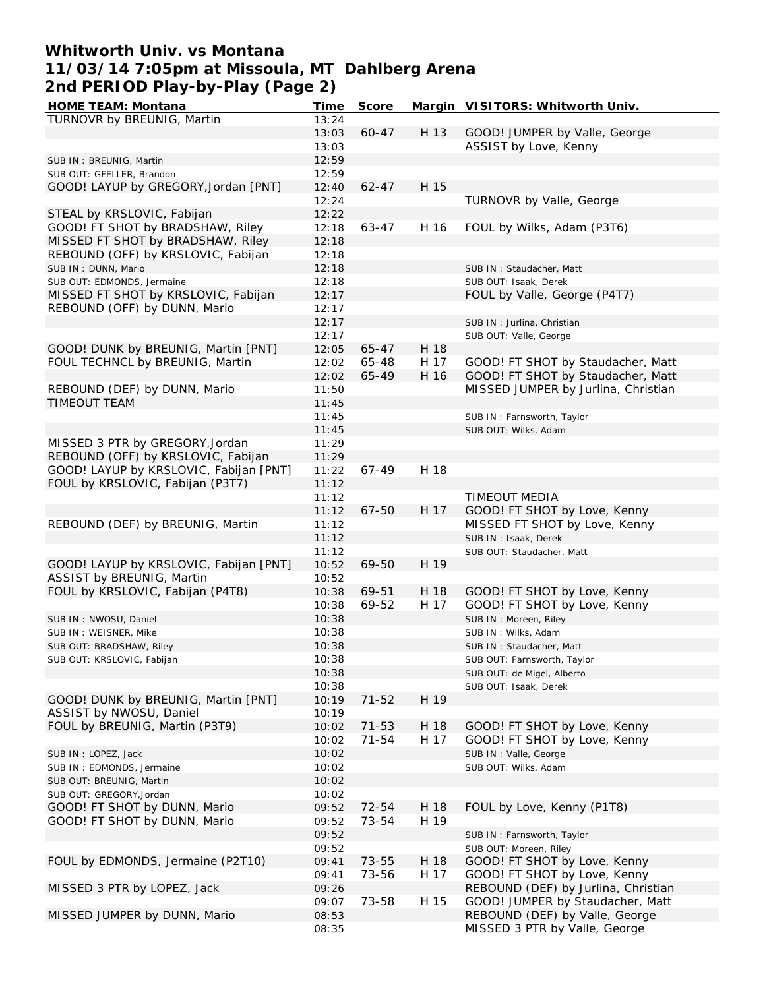## **Whitworth Univ. vs Montana 11/03/14 7:05pm at Missoula, MT Dahlberg Arena 2nd PERIOD Play-by-Play (Page 2)**

| <b>HOME TEAM: Montana</b>              | Time  | <b>Score</b> |      | Margin VISITORS: Whitworth Univ.    |
|----------------------------------------|-------|--------------|------|-------------------------------------|
| TURNOVR by BREUNIG, Martin             | 13:24 |              |      |                                     |
|                                        | 13:03 | $60 - 47$    | H 13 | GOOD! JUMPER by Valle, George       |
|                                        | 13:03 |              |      | ASSIST by Love, Kenny               |
| SUB IN: BREUNIG, Martin                | 12:59 |              |      |                                     |
| SUB OUT: GFELLER, Brandon              | 12:59 |              |      |                                     |
| GOOD! LAYUP by GREGORY, Jordan [PNT]   | 12:40 | $62 - 47$    | H 15 |                                     |
|                                        | 12:24 |              |      | TURNOVR by Valle, George            |
| STEAL by KRSLOVIC, Fabijan             | 12:22 |              |      |                                     |
| GOOD! FT SHOT by BRADSHAW, Riley       | 12:18 | 63-47        | H 16 | FOUL by Wilks, Adam (P3T6)          |
|                                        |       |              |      |                                     |
| MISSED FT SHOT by BRADSHAW, Riley      | 12:18 |              |      |                                     |
| REBOUND (OFF) by KRSLOVIC, Fabijan     | 12:18 |              |      |                                     |
| SUB IN: DUNN, Mario                    | 12:18 |              |      | SUB IN: Staudacher, Matt            |
| SUB OUT: EDMONDS, Jermaine             | 12:18 |              |      | SUB OUT: Isaak, Derek               |
| MISSED FT SHOT by KRSLOVIC, Fabijan    | 12:17 |              |      | FOUL by Valle, George (P4T7)        |
| REBOUND (OFF) by DUNN, Mario           | 12:17 |              |      |                                     |
|                                        | 12:17 |              |      | SUB IN: Jurlina, Christian          |
|                                        | 12:17 |              |      | SUB OUT: Valle, George              |
| GOOD! DUNK by BREUNIG, Martin [PNT]    | 12:05 | 65-47        | H 18 |                                     |
| FOUL TECHNCL by BREUNIG, Martin        | 12:02 | 65-48        | H 17 | GOOD! FT SHOT by Staudacher, Matt   |
|                                        | 12:02 | 65-49        | H 16 | GOOD! FT SHOT by Staudacher, Matt   |
| REBOUND (DEF) by DUNN, Mario           | 11:50 |              |      | MISSED JUMPER by Jurlina, Christian |
| <b>TIMEOUT TEAM</b>                    | 11:45 |              |      |                                     |
|                                        | 11:45 |              |      | SUB IN: Farnsworth, Taylor          |
|                                        | 11:45 |              |      | SUB OUT: Wilks, Adam                |
| MISSED 3 PTR by GREGORY, Jordan        | 11:29 |              |      |                                     |
| REBOUND (OFF) by KRSLOVIC, Fabijan     | 11:29 |              |      |                                     |
|                                        |       |              |      |                                     |
| GOOD! LAYUP by KRSLOVIC, Fabijan [PNT] | 11:22 | $67 - 49$    | H 18 |                                     |
| FOUL by KRSLOVIC, Fabijan (P3T7)       | 11:12 |              |      |                                     |
|                                        | 11:12 |              |      | TIMEOUT MEDIA                       |
|                                        | 11:12 | 67-50        | H 17 | GOOD! FT SHOT by Love, Kenny        |
| REBOUND (DEF) by BREUNIG, Martin       | 11:12 |              |      | MISSED FT SHOT by Love, Kenny       |
|                                        | 11:12 |              |      | SUB IN: Isaak, Derek                |
|                                        | 11:12 |              |      | SUB OUT: Staudacher, Matt           |
| GOOD! LAYUP by KRSLOVIC, Fabijan [PNT] | 10:52 | 69-50        | H 19 |                                     |
| ASSIST by BREUNIG, Martin              | 10:52 |              |      |                                     |
| FOUL by KRSLOVIC, Fabijan (P4T8)       | 10:38 | 69-51        | H 18 | GOOD! FT SHOT by Love, Kenny        |
|                                        | 10:38 | 69-52        | H 17 | GOOD! FT SHOT by Love, Kenny        |
| SUB IN: NWOSU, Daniel                  | 10:38 |              |      | SUB IN : Moreen, Riley              |
| SUB IN : WEISNER, Mike                 | 10:38 |              |      | SUB IN: Wilks, Adam                 |
| SUB OUT: BRADSHAW, Riley               | 10:38 |              |      | SUB IN: Staudacher, Matt            |
| SUB OUT: KRSLOVIC, Fabijan             | 10:38 |              |      | SUB OUT: Farnsworth, Taylor         |
|                                        | 10:38 |              |      | SUB OUT: de Migel, Alberto          |
|                                        | 10:38 |              |      |                                     |
| GOOD! DUNK by BREUNIG, Martin [PNT]    |       |              | H 19 | SUB OUT: Isaak, Derek               |
|                                        | 10:19 | $71 - 52$    |      |                                     |
| ASSIST by NWOSU, Daniel                | 10:19 |              |      |                                     |
| FOUL by BREUNIG, Martin (P3T9)         | 10:02 | $71 - 53$    | H 18 | GOOD! FT SHOT by Love, Kenny        |
|                                        | 10:02 | $71 - 54$    | H 17 | GOOD! FT SHOT by Love, Kenny        |
| SUB IN: LOPEZ, Jack                    | 10:02 |              |      | SUB IN: Valle, George               |
| SUB IN: EDMONDS, Jermaine              | 10:02 |              |      | SUB OUT: Wilks, Adam                |
| SUB OUT: BREUNIG, Martin               | 10:02 |              |      |                                     |
| SUB OUT: GREGORY, Jordan               | 10:02 |              |      |                                     |
| GOOD! FT SHOT by DUNN, Mario           | 09:52 | 72-54        | H 18 | FOUL by Love, Kenny (P1T8)          |
| GOOD! FT SHOT by DUNN, Mario           | 09:52 | 73-54        | H 19 |                                     |
|                                        | 09:52 |              |      | SUB IN: Farnsworth, Taylor          |
|                                        | 09:52 |              |      | SUB OUT: Moreen, Riley              |
| FOUL by EDMONDS, Jermaine (P2T10)      | 09:41 | 73-55        | H 18 | GOOD! FT SHOT by Love, Kenny        |
|                                        | 09:41 | 73-56        | H 17 | GOOD! FT SHOT by Love, Kenny        |
| MISSED 3 PTR by LOPEZ, Jack            | 09:26 |              |      | REBOUND (DEF) by Jurlina, Christian |
|                                        |       | 73-58        | H 15 | GOOD! JUMPER by Staudacher, Matt    |
|                                        | 09:07 |              |      |                                     |
| MISSED JUMPER by DUNN, Mario           | 08:53 |              |      | REBOUND (DEF) by Valle, George      |
|                                        | 08:35 |              |      | MISSED 3 PTR by Valle, George       |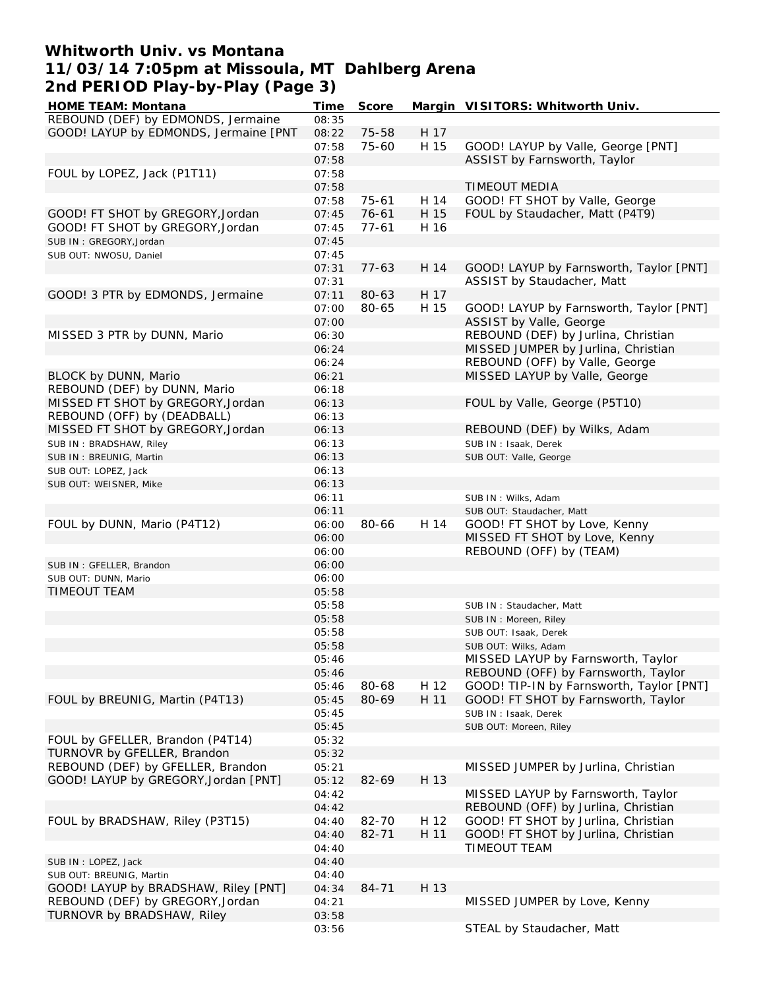## **Whitworth Univ. vs Montana 11/03/14 7:05pm at Missoula, MT Dahlberg Arena 2nd PERIOD Play-by-Play (Page 3)**

| <b>HOME TEAM: Montana</b>             | Time  | <b>Score</b> |      | Margin VISITORS: Whitworth Univ.         |
|---------------------------------------|-------|--------------|------|------------------------------------------|
| REBOUND (DEF) by EDMONDS, Jermaine    | 08:35 |              |      |                                          |
| GOOD! LAYUP by EDMONDS, Jermaine [PNT | 08:22 | 75-58        | H 17 |                                          |
|                                       | 07:58 | 75-60        | H 15 | GOOD! LAYUP by Valle, George [PNT]       |
|                                       | 07:58 |              |      | ASSIST by Farnsworth, Taylor             |
|                                       |       |              |      |                                          |
| FOUL by LOPEZ, Jack (P1T11)           | 07:58 |              |      |                                          |
|                                       | 07:58 |              |      | <b>TIMEOUT MEDIA</b>                     |
|                                       | 07:58 | $75 - 61$    | H 14 | GOOD! FT SHOT by Valle, George           |
| GOOD! FT SHOT by GREGORY, Jordan      | 07:45 | $76 - 61$    | H 15 | FOUL by Staudacher, Matt (P4T9)          |
| GOOD! FT SHOT by GREGORY, Jordan      | 07:45 | $77 - 61$    | H 16 |                                          |
| SUB IN: GREGORY, Jordan               | 07:45 |              |      |                                          |
| SUB OUT: NWOSU, Daniel                | 07:45 |              |      |                                          |
|                                       | 07:31 | $77-63$      | H 14 | GOOD! LAYUP by Farnsworth, Taylor [PNT]  |
|                                       | 07:31 |              |      | ASSIST by Staudacher, Matt               |
| GOOD! 3 PTR by EDMONDS, Jermaine      | 07:11 | 80-63        | H 17 |                                          |
|                                       | 07:00 | 80-65        | H 15 |                                          |
|                                       |       |              |      | GOOD! LAYUP by Farnsworth, Taylor [PNT]  |
|                                       | 07:00 |              |      | ASSIST by Valle, George                  |
| MISSED 3 PTR by DUNN, Mario           | 06:30 |              |      | REBOUND (DEF) by Jurlina, Christian      |
|                                       | 06:24 |              |      | MISSED JUMPER by Jurlina, Christian      |
|                                       | 06:24 |              |      | REBOUND (OFF) by Valle, George           |
| BLOCK by DUNN, Mario                  | 06:21 |              |      | MISSED LAYUP by Valle, George            |
| REBOUND (DEF) by DUNN, Mario          | 06:18 |              |      |                                          |
| MISSED FT SHOT by GREGORY, Jordan     | 06:13 |              |      | FOUL by Valle, George (P5T10)            |
| REBOUND (OFF) by (DEADBALL)           | 06:13 |              |      |                                          |
| MISSED FT SHOT by GREGORY, Jordan     | 06:13 |              |      | REBOUND (DEF) by Wilks, Adam             |
|                                       | 06:13 |              |      |                                          |
| SUB IN: BRADSHAW, Riley               |       |              |      | SUB IN: Isaak, Derek                     |
| SUB IN: BREUNIG, Martin               | 06:13 |              |      | SUB OUT: Valle, George                   |
| SUB OUT: LOPEZ, Jack                  | 06:13 |              |      |                                          |
| SUB OUT: WEISNER, Mike                | 06:13 |              |      |                                          |
|                                       | 06:11 |              |      | SUB IN: Wilks, Adam                      |
|                                       | 06:11 |              |      | SUB OUT: Staudacher, Matt                |
| FOUL by DUNN, Mario (P4T12)           | 06:00 | 80-66        | H 14 | GOOD! FT SHOT by Love, Kenny             |
|                                       | 06:00 |              |      | MISSED FT SHOT by Love, Kenny            |
|                                       | 06:00 |              |      | REBOUND (OFF) by (TEAM)                  |
| SUB IN: GFELLER, Brandon              | 06:00 |              |      |                                          |
| SUB OUT: DUNN, Mario                  | 06:00 |              |      |                                          |
| TIMEOUT TEAM                          | 05:58 |              |      |                                          |
|                                       | 05:58 |              |      | SUB IN: Staudacher, Matt                 |
|                                       | 05:58 |              |      | SUB IN: Moreen, Riley                    |
|                                       | 05:58 |              |      | SUB OUT: Isaak, Derek                    |
|                                       | 05:58 |              |      | SUB OUT: Wilks, Adam                     |
|                                       |       |              |      | MISSED LAYUP by Farnsworth, Taylor       |
|                                       | 05:46 |              |      |                                          |
|                                       | 05:46 |              |      | REBOUND (OFF) by Farnsworth, Taylor      |
|                                       | 05:46 | 80-68        | H 12 | GOOD! TIP-IN by Farnsworth, Taylor [PNT] |
| FOUL by BREUNIG, Martin (P4T13)       | 05:45 | 80-69        | H 11 | GOOD! FT SHOT by Farnsworth, Taylor      |
|                                       | 05:45 |              |      | SUB IN: Isaak, Derek                     |
|                                       | 05:45 |              |      | SUB OUT: Moreen, Riley                   |
| FOUL by GFELLER, Brandon (P4T14)      | 05:32 |              |      |                                          |
| TURNOVR by GFELLER, Brandon           | 05:32 |              |      |                                          |
| REBOUND (DEF) by GFELLER, Brandon     | 05:21 |              |      | MISSED JUMPER by Jurlina, Christian      |
| GOOD! LAYUP by GREGORY, Jordan [PNT]  | 05:12 | 82-69        | H 13 |                                          |
|                                       | 04:42 |              |      | MISSED LAYUP by Farnsworth, Taylor       |
|                                       | 04:42 |              |      | REBOUND (OFF) by Jurlina, Christian      |
| FOUL by BRADSHAW, Riley (P3T15)       | 04:40 | 82-70        | H 12 | GOOD! FT SHOT by Jurlina, Christian      |
|                                       | 04:40 | $82 - 71$    | H 11 | GOOD! FT SHOT by Jurlina, Christian      |
|                                       |       |              |      |                                          |
|                                       | 04:40 |              |      | TIMEOUT TEAM                             |
| SUB IN: LOPEZ, Jack                   | 04:40 |              |      |                                          |
| SUB OUT: BREUNIG, Martin              | 04:40 |              |      |                                          |
| GOOD! LAYUP by BRADSHAW, Riley [PNT]  | 04:34 | 84-71        | H 13 |                                          |
| REBOUND (DEF) by GREGORY, Jordan      | 04:21 |              |      | MISSED JUMPER by Love, Kenny             |
| TURNOVR by BRADSHAW, Riley            | 03:58 |              |      |                                          |
|                                       | 03:56 |              |      | STEAL by Staudacher, Matt                |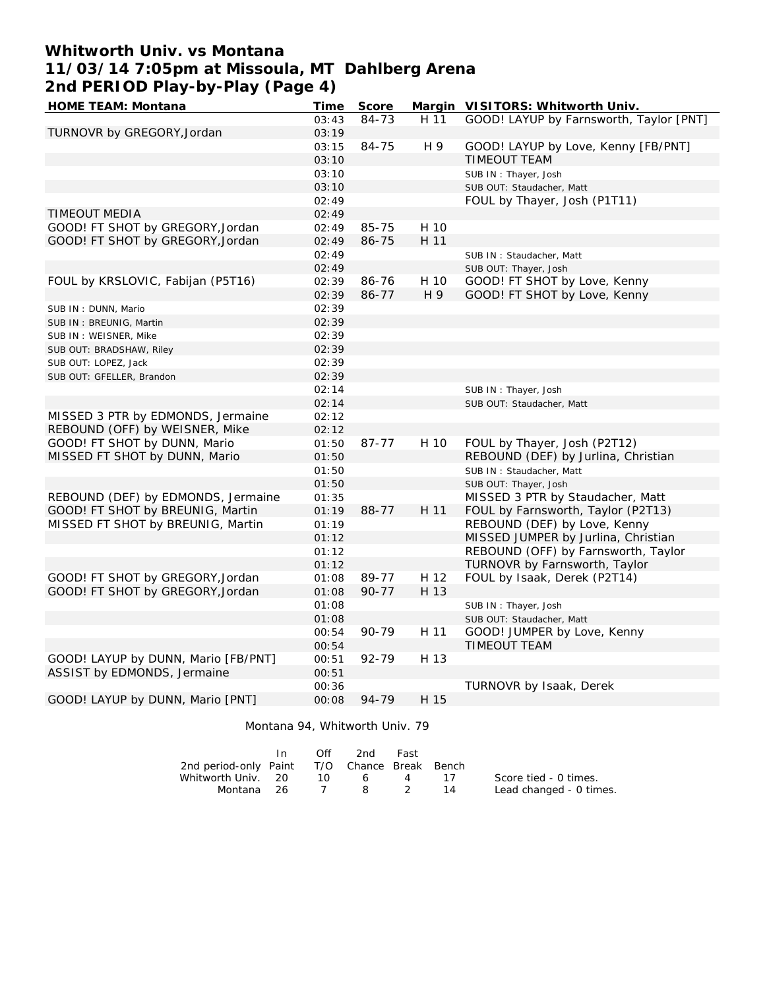# **Whitworth Univ. vs Montana 11/03/14 7:05pm at Missoula, MT Dahlberg Arena 2nd PERIOD Play-by-Play (Page 4)**

| <b>HOME TEAM: Montana</b>           | <b>Time</b> | <b>Score</b> |      | Margin VISITORS: Whitworth Univ.        |
|-------------------------------------|-------------|--------------|------|-----------------------------------------|
|                                     | 03:43       | 84-73        | H 11 | GOOD! LAYUP by Farnsworth, Taylor [PNT] |
| TURNOVR by GREGORY, Jordan          | 03:19       |              |      |                                         |
|                                     | 03:15       | 84-75        | H 9  | GOOD! LAYUP by Love, Kenny [FB/PNT]     |
|                                     | 03:10       |              |      | <b>TIMEOUT TEAM</b>                     |
|                                     | 03:10       |              |      | SUB IN: Thayer, Josh                    |
|                                     | 03:10       |              |      | SUB OUT: Staudacher, Matt               |
|                                     | 02:49       |              |      | FOUL by Thayer, Josh (P1T11)            |
| TIMEOUT MEDIA                       | 02:49       |              |      |                                         |
| GOOD! FT SHOT by GREGORY, Jordan    | 02:49       | 85-75        | H 10 |                                         |
| GOOD! FT SHOT by GREGORY, Jordan    | 02:49       | 86-75        | H 11 |                                         |
|                                     | 02:49       |              |      | SUB IN: Staudacher, Matt                |
|                                     | 02:49       |              |      | SUB OUT: Thayer, Josh                   |
| FOUL by KRSLOVIC, Fabijan (P5T16)   | 02:39       | 86-76        | H 10 | GOOD! FT SHOT by Love, Kenny            |
|                                     | 02:39       | 86-77        | H 9  | GOOD! FT SHOT by Love, Kenny            |
| SUB IN: DUNN, Mario                 | 02:39       |              |      |                                         |
| SUB IN: BREUNIG, Martin             | 02:39       |              |      |                                         |
| SUB IN : WEISNER, Mike              | 02:39       |              |      |                                         |
| SUB OUT: BRADSHAW, Riley            | 02:39       |              |      |                                         |
| SUB OUT: LOPEZ, Jack                | 02:39       |              |      |                                         |
| SUB OUT: GFELLER, Brandon           | 02:39       |              |      |                                         |
|                                     | 02:14       |              |      | SUB IN: Thayer, Josh                    |
|                                     | 02:14       |              |      | SUB OUT: Staudacher, Matt               |
| MISSED 3 PTR by EDMONDS, Jermaine   | 02:12       |              |      |                                         |
| REBOUND (OFF) by WEISNER, Mike      | 02:12       |              |      |                                         |
| GOOD! FT SHOT by DUNN, Mario        | 01:50       | 87-77        | H 10 | FOUL by Thayer, Josh (P2T12)            |
| MISSED FT SHOT by DUNN, Mario       | 01:50       |              |      | REBOUND (DEF) by Jurlina, Christian     |
|                                     | 01:50       |              |      | SUB IN: Staudacher, Matt                |
|                                     | 01:50       |              |      | SUB OUT: Thayer, Josh                   |
| REBOUND (DEF) by EDMONDS, Jermaine  | 01:35       |              |      | MISSED 3 PTR by Staudacher, Matt        |
| GOOD! FT SHOT by BREUNIG, Martin    | 01:19       | 88-77        | H 11 | FOUL by Farnsworth, Taylor (P2T13)      |
| MISSED FT SHOT by BREUNIG, Martin   | 01:19       |              |      | REBOUND (DEF) by Love, Kenny            |
|                                     | 01:12       |              |      | MISSED JUMPER by Jurlina, Christian     |
|                                     | 01:12       |              |      | REBOUND (OFF) by Farnsworth, Taylor     |
|                                     | 01:12       |              |      | TURNOVR by Farnsworth, Taylor           |
| GOOD! FT SHOT by GREGORY, Jordan    | 01:08       | 89-77        | H 12 | FOUL by Isaak, Derek (P2T14)            |
| GOOD! FT SHOT by GREGORY, Jordan    | 01:08       | 90-77        | H 13 |                                         |
|                                     | 01:08       |              |      | SUB IN: Thayer, Josh                    |
|                                     | 01:08       |              |      | SUB OUT: Staudacher, Matt               |
|                                     | 00:54       | 90-79        | H 11 | GOOD! JUMPER by Love, Kenny             |
|                                     | 00:54       |              |      | TIMEOUT TEAM                            |
| GOOD! LAYUP by DUNN, Mario [FB/PNT] | 00:51       | 92-79        | H 13 |                                         |
| ASSIST by EDMONDS, Jermaine         | 00:51       |              |      |                                         |
|                                     | 00:36       |              |      | TURNOVR by Isaak, Derek                 |
| GOOD! LAYUP by DUNN, Mario [PNT]    | 00:08       | 94-79        | H 15 |                                         |
|                                     |             |              |      |                                         |

Montana 94, Whitworth Univ. 79

|                                              | Off  | 2nd        | Fast |                 |                         |
|----------------------------------------------|------|------------|------|-----------------|-------------------------|
| 2nd period-only Paint T/O Chance Break Bench |      |            |      |                 |                         |
| Whitworth Univ. 20                           | ີ 10 | 6          | 4    | $\overline{11}$ | Score tied - 0 times.   |
| Montana 26                                   |      | $\sqrt{2}$ |      | 14              | Lead changed - 0 times. |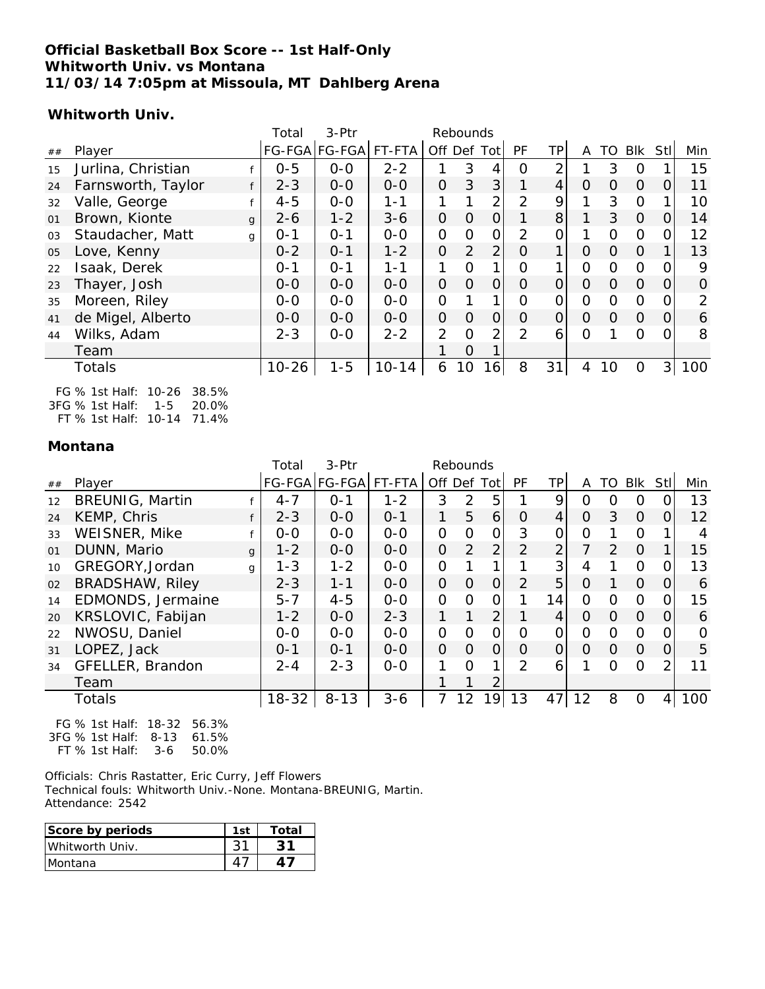#### **Official Basketball Box Score -- 1st Half-Only Whitworth Univ. vs Montana 11/03/14 7:05pm at Missoula, MT Dahlberg Arena**

#### **Whitworth Univ.**

|    |                               | Total     | $3-$ Ptr             |           |              | Rebounds       |                |                |                |          |          |          |                |          |
|----|-------------------------------|-----------|----------------------|-----------|--------------|----------------|----------------|----------------|----------------|----------|----------|----------|----------------|----------|
| ## | Player                        |           | FG-FGA FG-FGA FT-FTA |           |              |                | Off Def Tot    | <b>PF</b>      | ТP             | A        | TO       | Blk      | Stl            | Min      |
| 15 | Jurlina, Christian            | $0 - 5$   | $0-0$                | $2 - 2$   | 1            | 3              | 4              | 0              | 2              |          | 3        | $\Omega$ |                | 15       |
| 24 | Farnsworth, Taylor<br>f       | $2 - 3$   | $0-0$                | $0-0$     | $\Omega$     | 3              | 3              | $\mathbf{1}$   | $\overline{4}$ | $\Omega$ | $\Omega$ | $\Omega$ | $\overline{O}$ | 11       |
| 32 | Valle, George                 | $4 - 5$   | $0 - 0$              | $1 - 1$   | 1            | 1              | $\overline{2}$ | $\overline{2}$ | 9              |          | 3        | $\Omega$ |                | 10       |
| 01 | Brown, Kionte<br>$\mathbf{q}$ | $2 - 6$   | $1 - 2$              | $3 - 6$   | $\mathbf{O}$ | $\overline{O}$ | $\Omega$       | 1              | 8              |          | 3        | $\Omega$ | $\Omega$       | 14       |
| 03 | Staudacher, Matt<br>g         | $O - 1$   | $O - 1$              | $O-O$     | 0            | 0              | $\mathbf 0$    | 2              | 0              |          | 0        | $\Omega$ | $\Omega$       | 12       |
| 05 | Love, Kenny                   | $0 - 2$   | $O - 1$              | $1 - 2$   | O            | $\overline{2}$ | 2              | $\Omega$       | 1              | $\Omega$ | $\Omega$ | $\Omega$ |                | 13       |
| 22 | Isaak, Derek                  | $O - 1$   | $0 - 1$              | $1 - 1$   | 1            | $\Omega$       | 1              | $\Omega$       | 1              | $\Omega$ | $\Omega$ | $\Omega$ | $\Omega$       | 9        |
| 23 | Thayer, Josh                  | $O-O$     | $0 - 0$              | $0-0$     | $\Omega$     | $\Omega$       | $\Omega$       | $\Omega$       | $\overline{O}$ | $\Omega$ | $\Omega$ | $\Omega$ | $\overline{O}$ | $\Omega$ |
| 35 | Moreen, Riley                 | $0 - 0$   | $0 - 0$              | $0-0$     | O            | 1              | 1              | O              | 0              | $\Omega$ | $\Omega$ | $\Omega$ | 0              | 2        |
| 41 | de Migel, Alberto             | $0 - 0$   | $0 - 0$              | $0 - 0$   | $\Omega$     | $\overline{O}$ | $\Omega$       | $\Omega$       | $\overline{O}$ | $\Omega$ | $\Omega$ | $\Omega$ | $\overline{0}$ | 6        |
| 44 | Wilks, Adam                   | $2 - 3$   | $0-0$                | $2 - 2$   | 2            | $\Omega$       | 2              | 2              | 6              | $\Omega$ |          | $\Omega$ | $\Omega$       | 8        |
|    | Team                          |           |                      |           | 1            | 0              |                |                |                |          |          |          |                |          |
|    | <b>Totals</b>                 | $10 - 26$ | $1 - 5$              | $10 - 14$ | 6            | 10             | 16             | 8              | 31             | 4        | 10       | $\Omega$ | 3 <sup>1</sup> | 100      |
|    |                               |           |                      |           |              |                |                |                |                |          |          |          |                |          |

FG % 1st Half: 10-26 38.5% 3FG % 1st Half: 1-5 20.0% FT % 1st Half: 10-14 71.4%

#### **Montana**

|    |                        |              | Total     | 3-Ptr                |         |                | Rebounds |                |                |                |          |          |          |                |     |
|----|------------------------|--------------|-----------|----------------------|---------|----------------|----------|----------------|----------------|----------------|----------|----------|----------|----------------|-----|
| ## | Player                 |              |           | FG-FGA FG-FGA FT-FTA |         |                |          | Off Def Tot    | <b>PF</b>      | ТP             | A        | TO       | Blk      | Stll           | Min |
| 12 | <b>BREUNIG, Martin</b> |              | $4 - 7$   | $O - 1$              | $1 - 2$ | 3              | 2        | 5              |                | 9              | 0        | O        | $\Omega$ |                | 13  |
| 24 | KEMP, Chris            |              | $2 - 3$   | $0 - 0$              | $O - 1$ | 1              | 5        | 6              | $\Omega$       | $\overline{4}$ | $\Omega$ | 3        | $\Omega$ | $\Omega$       | 12  |
| 33 | WEISNER, Mike          |              | $0 - 0$   | $0 - 0$              | $0-0$   | 0              | 0        | $\mathbf 0$    | 3              | 0              | $\Omega$ |          | $\Omega$ |                | 4   |
| 01 | DUNN, Mario            | $\mathbf{q}$ | $1 - 2$   | $0 - 0$              | $0-0$   | $\Omega$       | 2        | $\overline{2}$ | $\overline{2}$ | $\overline{2}$ |          | 2        | $\Omega$ |                | 15  |
| 10 | GREGORY, Jordan        | g            | $1 - 3$   | $1 - 2$              | $0-0$   | 0              |          |                |                | 3              | 4        |          | $\Omega$ | O              | 13  |
| 02 | <b>BRADSHAW, Riley</b> |              | $2 - 3$   | $1 - 1$              | $0 - 0$ | $\overline{0}$ | $\Omega$ | $\Omega$       | 2              | 5              | $\Omega$ |          | $\Omega$ | $\Omega$       | 6   |
| 14 | EDMONDS, Jermaine      |              | $5 - 7$   | $4 - 5$              | $O-O$   | 0              | $\Omega$ | O              |                | 14             | $\Omega$ | $\Omega$ | $\Omega$ | O              | 15  |
| 20 | KRSLOVIC, Fabijan      |              | $1 - 2$   | $0 - 0$              | $2 - 3$ | 1              | 1        | $\overline{2}$ |                | 4              | $\Omega$ | $\Omega$ | $\Omega$ | $\Omega$       | 6   |
| 22 | NWOSU, Daniel          |              | $0-0$     | $0-0$                | $O-O$   | 0              | 0        | 0              | $\Omega$       | 0              | $\Omega$ | $\Omega$ | $\Omega$ | $\Omega$       | 0   |
| 31 | LOPEZ, Jack            |              | $0 - 1$   | $0 - 1$              | $0 - 0$ | $\Omega$       | $\Omega$ | $\Omega$       | $\Omega$       | $\overline{O}$ | $\Omega$ | $\Omega$ | $\Omega$ | $\overline{O}$ | 5   |
| 34 | GFELLER, Brandon       |              | $2 - 4$   | $2 - 3$              | $0-0$   | 1              | $\Omega$ | 1              | 2              | 6              |          | $\Omega$ | $\Omega$ | $\overline{2}$ | 11  |
|    | Team                   |              |           |                      |         |                |          | 2              |                |                |          |          |          |                |     |
|    | Totals                 |              | $18 - 32$ | $8 - 13$             | $3 - 6$ | 7              | 12       | 9              | 13             | 47             | 12       | 8        | 0        | 4              | 100 |

FG % 1st Half: 18-32 56.3% 3FG % 1st Half: 8-13 61.5% FT % 1st Half: 3-6 50.0%

Officials: Chris Rastatter, Eric Curry, Jeff Flowers Technical fouls: Whitworth Univ.-None. Montana-BREUNIG, Martin. Attendance: 2542

| Score by periods | 1st | Total |
|------------------|-----|-------|
| Whitworth Univ.  |     |       |
| <b>IMontana</b>  |     |       |